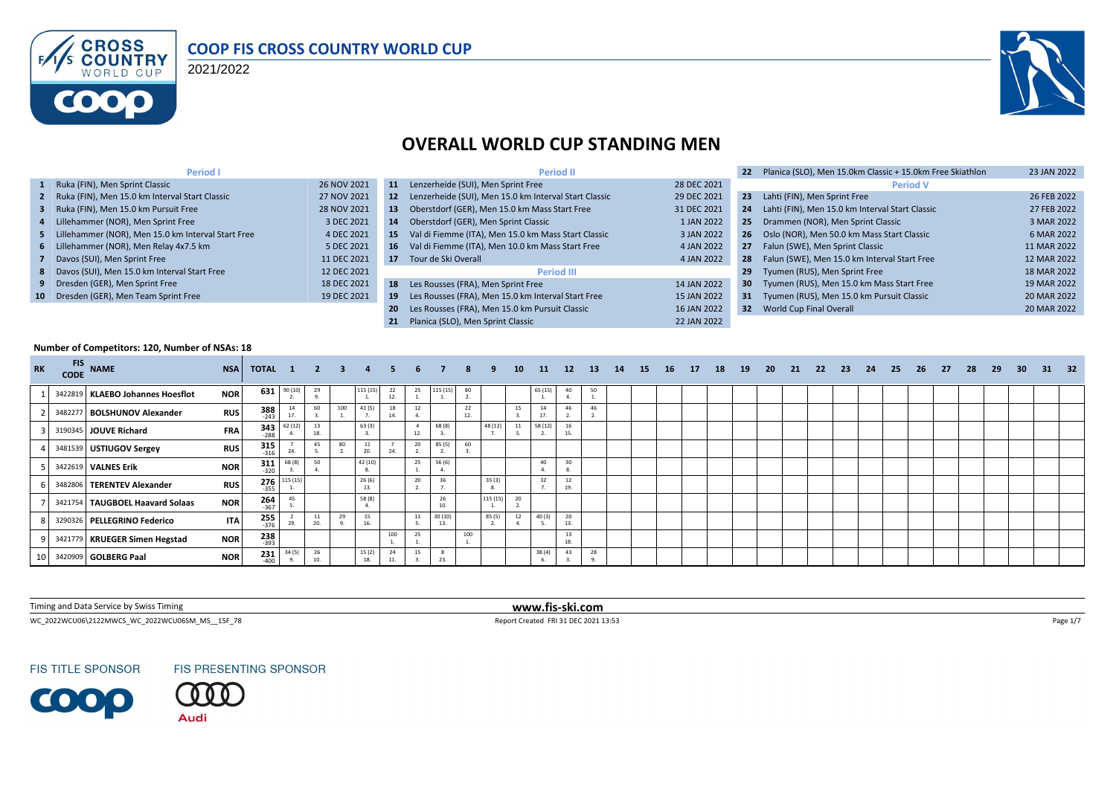

#### **COOP FIS CROSS COUNTRY WORLD CUP**

2021/2022



## **OVERALL WORLD CUP STANDING MEN**

| <b>Period I</b>                                      |             |     | <b>Period II</b>                                         |             | 22              | Planica (SLO), Men 15.0km Classic + 15.0km Free Skiathlon | 23 JAN 2022 |
|------------------------------------------------------|-------------|-----|----------------------------------------------------------|-------------|-----------------|-----------------------------------------------------------|-------------|
| 1 Ruka (FIN), Men Sprint Classic                     | 26 NOV 2021 | 11  | Lenzerheide (SUI), Men Sprint Free                       | 28 DEC 2021 |                 | <b>Period V</b>                                           |             |
| 2 Ruka (FIN), Men 15.0 km Interval Start Classic     | 27 NOV 2021 |     | 12 Lenzerheide (SUI), Men 15.0 km Interval Start Classic | 29 DEC 2021 | 23              | Lahti (FIN), Men Sprint Free                              | 26 FEB 2022 |
| 3 Ruka (FIN), Men 15.0 km Pursuit Free               | 28 NOV 2021 | 13  | Oberstdorf (GER), Men 15.0 km Mass Start Free            | 31 DEC 2021 | 24              | Lahti (FIN), Men 15.0 km Interval Start Classic           | 27 FEB 2022 |
| 4 Lillehammer (NOR), Men Sprint Free                 | 3 DEC 2021  | 14  | Oberstdorf (GER), Men Sprint Classic                     | 1 JAN 2022  |                 | 25 Drammen (NOR), Men Sprint Classic                      | 3 MAR 2022  |
| 5 Lillehammer (NOR), Men 15.0 km Interval Start Free | 4 DEC 2021  | 15  | Val di Fiemme (ITA), Men 15.0 km Mass Start Classic      | 3 JAN 2022  |                 | 26 Oslo (NOR), Men 50.0 km Mass Start Classic             | 6 MAR 2022  |
| 6 Lillehammer (NOR), Men Relay 4x7.5 km              | 5 DEC 2021  | 16  | Val di Fiemme (ITA), Men 10.0 km Mass Start Free         | 4 JAN 2022  |                 | 27 Falun (SWE), Men Sprint Classic                        | 11 MAR 2022 |
| 7 Davos (SUI), Men Sprint Free                       | 11 DEC 2021 |     | 17 Tour de Ski Overall                                   | 4 JAN 2022  |                 | 28 Falun (SWE), Men 15.0 km Interval Start Free           | 12 MAR 2022 |
| 8 Davos (SUI), Men 15.0 km Interval Start Free       | 12 DEC 2021 |     | <b>Period III</b>                                        |             | 29              | Tyumen (RUS), Men Sprint Free                             | 18 MAR 2022 |
| 9 Dresden (GER), Men Sprint Free                     | 18 DEC 2021 |     | 18 Les Rousses (FRA), Men Sprint Free                    | 14 JAN 2022 | 30 <sub>1</sub> | Tyumen (RUS), Men 15.0 km Mass Start Free                 | 19 MAR 2022 |
| 10 Dresden (GER), Men Team Sprint Free               | 19 DEC 2021 | 19  | Les Rousses (FRA), Men 15.0 km Interval Start Free       | 15 JAN 2022 |                 | 31 Tyumen (RUS), Men 15.0 km Pursuit Classic              | 20 MAR 2022 |
|                                                      |             | -20 | Les Rousses (FRA), Men 15.0 km Pursuit Classic           | 16 JAN 2022 |                 | 32 World Cup Final Overall                                | 20 MAR 2022 |
|                                                      |             | 21  | Planica (SLO). Men Sprint Classic                        | 22 JAN 2022 |                 |                                                           |             |

#### **Number of Competitors: 120, Number of NSAs: 18**

| <b>RK</b> | FIS NAME                         | <b>NSA</b> | TOTAL 1 2         |          |           | $\mathbf{3}$ |               |          |     |                       |           |          | 10        | <b>11</b> | <b>12</b> | <b>13</b> | 14 | <b>15</b> | <b>16</b> | 17 | 18 | 19 | 20 | 21 | - 22 | - 23 | 24 | 25 | 26 | - 27 | 28 | 29 | 30 <sup>°</sup> | - 31 | 32 |
|-----------|----------------------------------|------------|-------------------|----------|-----------|--------------|---------------|----------|-----|-----------------------|-----------|----------|-----------|-----------|-----------|-----------|----|-----------|-----------|----|----|----|----|----|------|------|----|----|----|------|----|----|-----------------|------|----|
|           | 3422819 KLAEBO Johannes Hoesflot | <b>NOR</b> | 631               | 90 (10)  | 29        |              | 115 (15)      | 22<br>12 | 25  | 115 (15)              | 80        |          |           | 65 (15)   | 40        | 50        |    |           |           |    |    |    |    |    |      |      |    |    |    |      |    |    |                 |      |    |
|           | 3482277 BOLSHUNOV Alexander      | <b>RUS</b> | $388$<br>$-243$   |          | 60        | 100          | 41 (5)        | 18       |     |                       | 22<br>12. |          | 15        | 17.       | 46        |           |    |           |           |    |    |    |    |    |      |      |    |    |    |      |    |    |                 |      |    |
|           | 3190345 JOUVE Richard            | <b>FRA</b> | $343$<br>$-288$   | 62(12)   | 18.       |              | 63(3)         |          | 12. | 68 (8)                |           | 48 (12)  | 11        | 58 (12)   | 16<br>15. |           |    |           |           |    |    |    |    |    |      |      |    |    |    |      |    |    |                 |      |    |
|           | 3481539 USTIUGOV Sergey          | <b>RUS</b> | $315 - 316$       |          | 45        | 80           | 11<br>20.     |          | 20  | 85 (5)                | 60        |          |           |           |           |           |    |           |           |    |    |    |    |    |      |      |    |    |    |      |    |    |                 |      |    |
|           | 3422619 VALNES Erik              | <b>NOR</b> | 311<br>$-320$     | 68 (8)   | 50        |              | 42 (10)       |          | 25  | 56 (6)                |           |          |           | 40        |           |           |    |           |           |    |    |    |    |    |      |      |    |    |    |      |    |    |                 |      |    |
|           | 3482806 TERENTEV Alexander       | <b>RUS</b> | $276 - 355$       | 115 (15) |           |              | 26(6)         |          | 20  | 36                    |           | 35(3)    |           | 32        | 12<br>19. |           |    |           |           |    |    |    |    |    |      |      |    |    |    |      |    |    |                 |      |    |
|           | 3421754 TAUGBOEL Haavard Solaas  | <b>NOR</b> | $\frac{264}{367}$ | 45       |           |              | 58 (8)        |          |     | 26<br>10 <sub>1</sub> |           | 115 (15) | 20        |           |           |           |    |           |           |    |    |    |    |    |      |      |    |    |    |      |    |    |                 |      |    |
|           | 3290326 PELLEGRINO Federico      | <b>ITA</b> | $255$<br>$-376$   |          | 11<br>20. | 29           | 15<br>16.     |          | 11  | 30(10)<br>13.         |           | 85 (5)   | 12<br>-4. | 40(3)     | 20<br>13. |           |    |           |           |    |    |    |    |    |      |      |    |    |    |      |    |    |                 |      |    |
|           | 3421779 KRUEGER Simen Hegstad    | <b>NOR</b> | 238<br>-393       |          |           |              |               | 100      | 25  |                       | 100       |          |           |           | 13<br>18. |           |    |           |           |    |    |    |    |    |      |      |    |    |    |      |    |    |                 |      |    |
|           | 10 3420909 GOLBERG Paal          | <b>NOR</b> | 231<br>$-400$     | 34(5)    | 26<br>10. |              | 15 (2)<br>18. | 24       | 15  | 23.                   |           |          |           | 38(4)     | 43        | 28        |    |           |           |    |    |    |    |    |      |      |    |    |    |      |    |    |                 |      |    |

Timing and Data Service by Swiss Timing **www.fis-ski.com**

WC\_2022WCU06\2122MWCS\_WC\_2022WCU06SM\_MS\_\_15F\_78 Report Created FRI 31 DEC 2021 13:53 Page 1/7



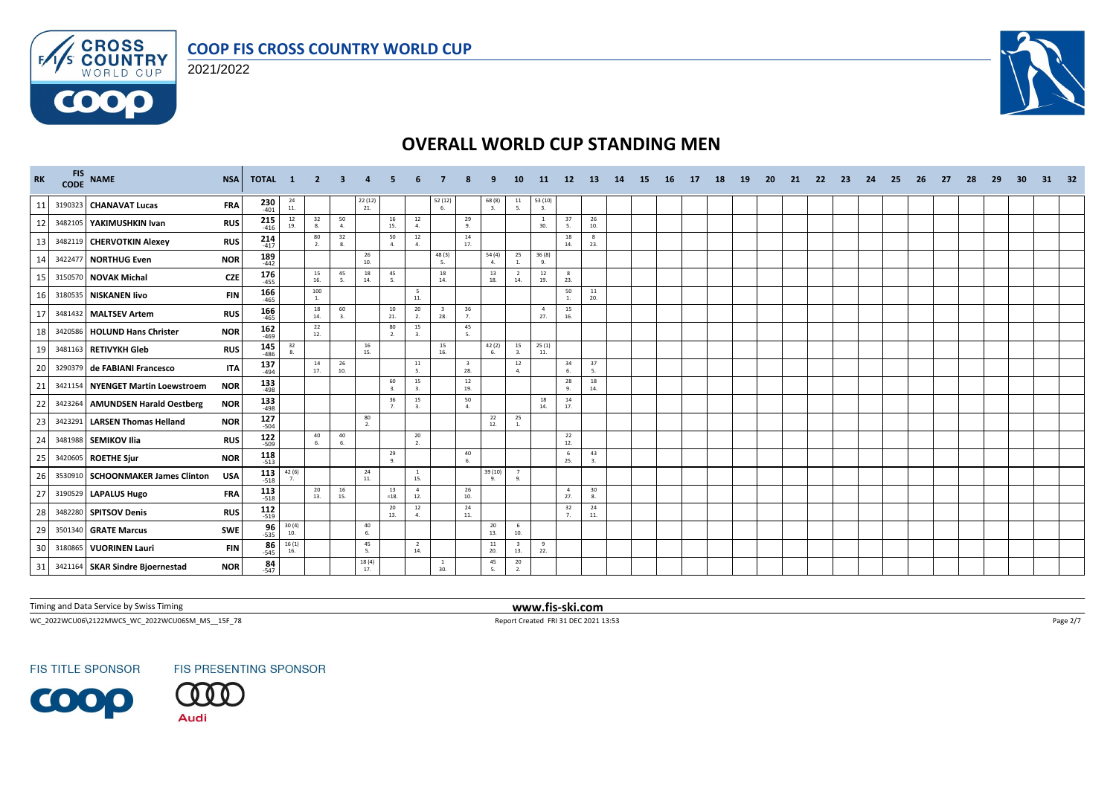



**COOO** 



# **OVERALL WORLD CUP STANDING MEN**

| <b>RK</b> | FIS NAME                          | <b>NSA</b> | <b>TOTAL</b>          | $\blacksquare$                              |           |           |                     |                      |                       |                    |                                |                       | 10                                      | -11-                  | <b>12</b>             | -13       | -14 | -15 | -16 | - 17 | 18 | -19 | -20 | -21 | -22 | -23 | -24 | -25 | -26 | -27 | 28 | -29 | -30 | 31 | - 32 |
|-----------|-----------------------------------|------------|-----------------------|---------------------------------------------|-----------|-----------|---------------------|----------------------|-----------------------|--------------------|--------------------------------|-----------------------|-----------------------------------------|-----------------------|-----------------------|-----------|-----|-----|-----|------|----|-----|-----|-----|-----|-----|-----|-----|-----|-----|----|-----|-----|----|------|
| 11        | 3190323 CHANAVAT Lucas            | <b>FRA</b> | $230$<br>$401$        | $\begin{array}{c} 24 \\ 11. \end{array}$    |           |           | $\frac{22(12)}{21}$ |                      |                       | 52 (12)<br>-6      |                                | 68(8)<br>$\mathbf{3}$ | $\begin{array}{c} 11 \\ 5. \end{array}$ | $\frac{53(10)}{3}$    |                       |           |     |     |     |      |    |     |     |     |     |     |     |     |     |     |    |     |     |    |      |
| 12        | 3482105 YAKIMUSHKIN Ivan          | <b>RUS</b> | $215$<br>$416$        | $\frac{12}{19}$                             | 32<br>8.  | 50<br>4.  |                     | 16<br>15.            | 12<br>4.              |                    | 29<br>9.                       |                       |                                         | <sup>1</sup><br>30.   | 37<br>5.              | 26<br>10. |     |     |     |      |    |     |     |     |     |     |     |     |     |     |    |     |     |    |      |
| 13        | 3482119 CHERVOTKIN Alexey         | <b>RUS</b> | $214$<br>$417$        |                                             | 80        | 32<br>8.  |                     | 50<br>$\Delta$       | 12<br>$\Delta$        |                    | 14<br>17.                      |                       |                                         |                       | 18<br>14.             | -8<br>23. |     |     |     |      |    |     |     |     |     |     |     |     |     |     |    |     |     |    |      |
| 14        | 3422477 NORTHUG Even              | <b>NOR</b> | 189<br>$-442$         |                                             |           |           | 26<br>10.           |                      |                       | 48(3)<br>-5.       |                                | 54 (4)<br>4.          | 25<br>1.                                | 36 (8)<br>9.          |                       |           |     |     |     |      |    |     |     |     |     |     |     |     |     |     |    |     |     |    |      |
| 15        | 3150570 NOVAK Michal              | <b>CZE</b> | 176<br>$-455$         |                                             | 15<br>16. | 45<br>5.  | 18<br>14.           | 45<br>5.             |                       | 18<br>14.          |                                | 13<br>18.             | $\overline{2}$<br>14.                   | 12<br>19.             | -8<br>23.             |           |     |     |     |      |    |     |     |     |     |     |     |     |     |     |    |     |     |    |      |
| 16        | 3180535 NISKANEN livo             | <b>FIN</b> | 166<br>$-465$         |                                             | 100<br>1. |           |                     |                      | 5<br>$11.$            |                    |                                |                       |                                         |                       | 50<br>1.              | 11<br>20. |     |     |     |      |    |     |     |     |     |     |     |     |     |     |    |     |     |    |      |
| 17        | 3481432 MALTSEV Artem             | <b>RUS</b> | $166$<br>-465         |                                             | 18<br>14. | 60<br>3.  |                     | 10<br>21.            | 20<br>2.              | 28.                | 36<br>7.                       |                       |                                         | $\overline{4}$<br>27. | 15<br>16.             |           |     |     |     |      |    |     |     |     |     |     |     |     |     |     |    |     |     |    |      |
| 18        | 3420586 HOLUND Hans Christer      | <b>NOR</b> | $162$<br>-469         |                                             | 22<br>12. |           |                     | 80<br>2.             | 15<br>3.              |                    | 45<br>5.                       |                       |                                         |                       |                       |           |     |     |     |      |    |     |     |     |     |     |     |     |     |     |    |     |     |    |      |
| 19        | 3481163 RETIVYKH Gleb             | <b>RUS</b> | 145<br>$-486$         | 32<br>$\mathbf{R}$                          |           |           | 16<br>15.           |                      |                       | 15<br>16.          |                                | 42 (2)                | 15                                      | 25(1)<br>11.          |                       |           |     |     |     |      |    |     |     |     |     |     |     |     |     |     |    |     |     |    |      |
| 20        | 3290379 de FABIANI Francesco      | <b>ITA</b> | 137<br>$-494$         |                                             | 14<br>17. | 26<br>10. |                     |                      | 11<br>5.              |                    | $\overline{\mathbf{3}}$<br>28. |                       | 12<br>4.                                |                       | 34<br>6.              | 37<br>5.  |     |     |     |      |    |     |     |     |     |     |     |     |     |     |    |     |     |    |      |
| 21        | 3421154 NYENGET Martin Loewstroem | <b>NOR</b> | 133<br>$-498$         |                                             |           |           |                     | 60<br>3.             | 15<br>3.              |                    | 12<br>19.                      |                       |                                         |                       | 28<br>9.              | 18<br>14. |     |     |     |      |    |     |     |     |     |     |     |     |     |     |    |     |     |    |      |
| 22        | 3423264 AMUNDSEN Harald Oestberg  | <b>NOR</b> | 133<br>$-498$         |                                             |           |           |                     | 36<br>7 <sub>1</sub> | 15<br>$\mathbf{3}$    |                    | 50<br>4.                       |                       |                                         | 18<br>14.             | 14<br>17.             |           |     |     |     |      |    |     |     |     |     |     |     |     |     |     |    |     |     |    |      |
| 23        | 3423291 LARSEN Thomas Helland     | <b>NOR</b> | 127<br>$-504$         |                                             |           |           | 80<br>2.            |                      |                       |                    |                                | 22<br>12.             | 25<br>$\overline{1}$ .                  |                       |                       |           |     |     |     |      |    |     |     |     |     |     |     |     |     |     |    |     |     |    |      |
| 24        | 3481988 SEMIKOV Ilia              | <b>RUS</b> | $122$<br>$-509$       |                                             | 40<br>6.  | 40<br>6.  |                     |                      | 20<br>2.              |                    |                                |                       |                                         |                       | 22<br>12.             |           |     |     |     |      |    |     |     |     |     |     |     |     |     |     |    |     |     |    |      |
| 25        | 3420605 ROETHE Sjur               | <b>NOR</b> | $118$ <sub>-513</sub> |                                             |           |           |                     | 29<br>$\alpha$       |                       |                    | 40<br>6.                       |                       |                                         |                       | - 6<br>25.            | 43<br>3.  |     |     |     |      |    |     |     |     |     |     |     |     |     |     |    |     |     |    |      |
| 26        | 3530910 SCHOONMAKER James Clinton | <b>USA</b> | $113$<br>$-518$       | $\frac{42}{7}$ (6)                          |           |           | 24<br>11.           |                      | $\mathbf{1}$<br>15.   |                    |                                | 39(10)<br>9.          | $\overline{7}$<br>9.                    |                       |                       |           |     |     |     |      |    |     |     |     |     |     |     |     |     |     |    |     |     |    |      |
| 27        | 3190529 LAPALUS Hugo              | <b>FRA</b> | $113$ <sub>518</sub>  |                                             | 20<br>13. | 16<br>15. |                     | 13<br>$=18.$         | $\overline{4}$<br>12. |                    | 26<br>10.                      |                       |                                         |                       | $\overline{4}$<br>27. | 30<br>8.  |     |     |     |      |    |     |     |     |     |     |     |     |     |     |    |     |     |    |      |
| 28        | 3482280 SPITSOV Denis             | <b>RUS</b> | 112<br>$-519$         |                                             |           |           |                     | 20<br>13.            | 12<br>$\overline{a}$  |                    | 24<br>$11.$                    |                       |                                         |                       | 32<br>7.              | 24<br>11. |     |     |     |      |    |     |     |     |     |     |     |     |     |     |    |     |     |    |      |
| 29        | 3501340 GRATE Marcus              | <b>SWE</b> | 96<br>$-535$          | $\frac{30(4)}{10}$                          |           |           | 40<br>6.            |                      |                       |                    |                                | 20<br>13.             | 6<br>10.                                |                       |                       |           |     |     |     |      |    |     |     |     |     |     |     |     |     |     |    |     |     |    |      |
| 30        | 3180865 VUORINEN Lauri            | <b>FIN</b> | $86 - 545$            | $\begin{array}{c} 16(1) \\ 16. \end{array}$ |           |           | 45<br>5.            |                      | $\overline{2}$<br>14. |                    |                                | $11\,$<br>20.         | - 3<br>13.                              | 9<br>22.              |                       |           |     |     |     |      |    |     |     |     |     |     |     |     |     |     |    |     |     |    |      |
| 31        | 3421164 SKAR Sindre Bjoernestad   | <b>NOR</b> | 84<br>$-547$          |                                             |           |           | 18 (4)<br>17.       |                      |                       | $\mathbf{1}$<br>30 |                                | 45<br>5.              | 20<br>2.                                |                       |                       |           |     |     |     |      |    |     |     |     |     |     |     |     |     |     |    |     |     |    |      |

Timing and Data Service by Swiss Timing **www.fis-ski.com**

WC\_2022WCU06\2122MWCS\_WC\_2022WCU06SM\_MS\_\_15F\_78 Report Created FRI 31 DEC 2021 13:53 Page 2/7

**FIS TITLE SPONSOR** 

FIS PRESENTING SPONSOR

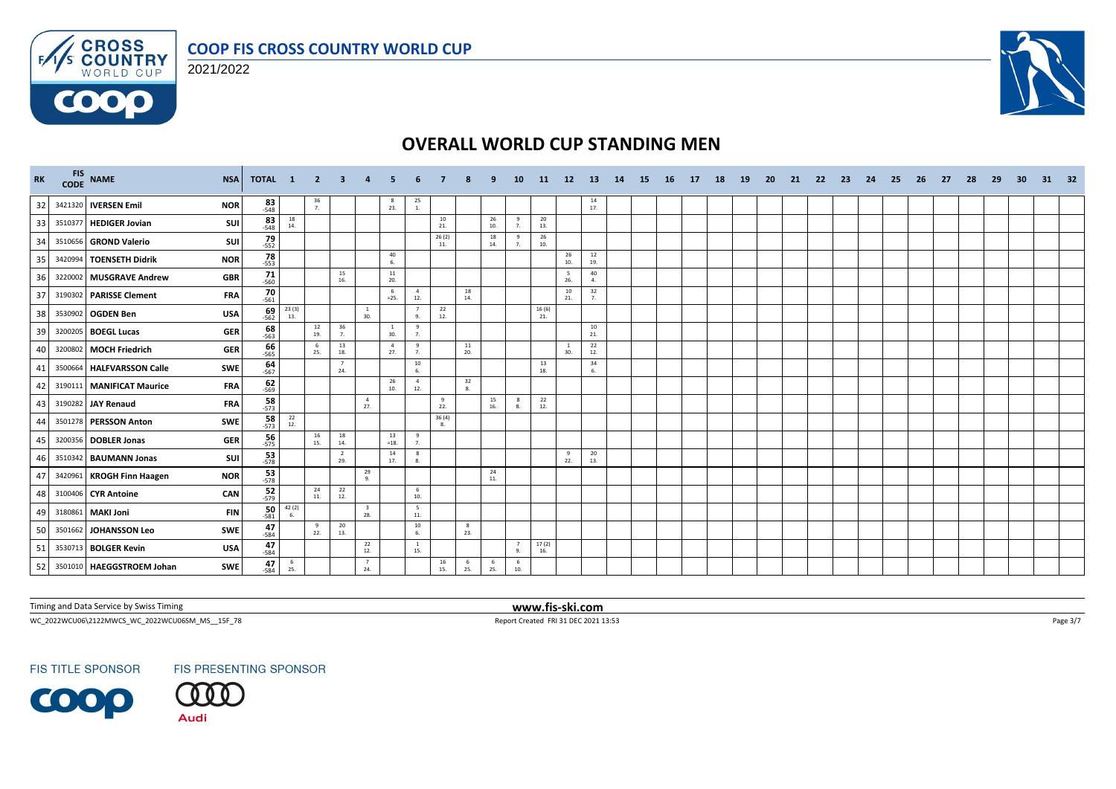



**COOO** 



## **OVERALL WORLD CUP STANDING MEN**

| RK |         | FIS NAME<br><b>NSA</b>                  | TOTAL 1                           |                                                | -2             |                       |                       |                       |                                         |              |           |             | 10                   | 11            | 12                  | <b>13</b>                                | 14 | -15 | - 16 | - 17 | 18 | <b>19</b> | -20 | 21 | -22 | -23 | -24 | - 25 | - 26 | - 27 | -28 | - 29 | 30 | 31 | 32 |
|----|---------|-----------------------------------------|-----------------------------------|------------------------------------------------|----------------|-----------------------|-----------------------|-----------------------|-----------------------------------------|--------------|-----------|-------------|----------------------|---------------|---------------------|------------------------------------------|----|-----|------|------|----|-----------|-----|----|-----|-----|-----|------|------|------|-----|------|----|----|----|
| 32 |         | 3421320 IVERSEN Emil<br><b>NOR</b>      | $83 - 548$                        |                                                | $\frac{36}{7}$ |                       |                       | -8<br>23.             | $\frac{25}{1}$                          |              |           |             |                      |               |                     | $\frac{14}{17}$                          |    |     |      |      |    |           |     |    |     |     |     |      |      |      |     |      |    |    |    |
| 33 | 3510377 | <b>HEDIGER Jovian</b>                   | $83 - 548$<br>SUI                 | 18<br>14.                                      |                |                       |                       |                       |                                         | 10<br>21.    |           | 26<br>10.   | 9<br>7.              | 20<br>13.     |                     |                                          |    |     |      |      |    |           |     |    |     |     |     |      |      |      |     |      |    |    |    |
| 34 |         | 3510656 GROND Valerio                   | $79 - 552$<br>SUI                 |                                                |                |                       |                       |                       |                                         | 26(2)<br>11. |           | 18<br>14.   | 9<br>$\overline{7}$  | 26<br>10.     |                     |                                          |    |     |      |      |    |           |     |    |     |     |     |      |      |      |     |      |    |    |    |
| 35 | 3420994 | <b>TOENSETH Didrik</b><br><b>NOR</b>    | $78 - 553$                        |                                                |                |                       |                       | 40<br>6.              |                                         |              |           |             |                      |               | 26<br>10.           | $\begin{array}{c} 12 \\ 19. \end{array}$ |    |     |      |      |    |           |     |    |     |     |     |      |      |      |     |      |    |    |    |
| 36 |         | 3220002 MUSGRAVE Andrew                 | $71$ <sub>560</sub><br><b>GBR</b> |                                                |                | 15<br>16.             |                       | $11\,$<br>20.         |                                         |              |           |             |                      |               | - 5<br>26.          | 40<br>$\mathbf{A}$                       |    |     |      |      |    |           |     |    |     |     |     |      |      |      |     |      |    |    |    |
| 37 |         | 3190302 PARISSE Clement                 | $70 - 561$<br><b>FRA</b>          |                                                |                |                       |                       | 6<br>$=25.$           | $\overline{4}$<br>12.                   |              | 18<br>14. |             |                      |               | 10<br>21.           | 32<br>7.                                 |    |     |      |      |    |           |     |    |     |     |     |      |      |      |     |      |    |    |    |
| 38 | 3530902 | <b>OGDEN Ben</b>                        | $69 - 562$<br><b>USA</b>          | $\begin{array}{c} 23 \ (3) \\ 13. \end{array}$ |                |                       | $\overline{1}$<br>30. |                       | $\overline{7}$<br>9.                    | 22<br>12.    |           |             |                      | 16 (6)<br>21. |                     |                                          |    |     |      |      |    |           |     |    |     |     |     |      |      |      |     |      |    |    |    |
| 39 |         | 3200205 BOEGL Lucas                     | $\frac{68}{-563}$<br><b>GER</b>   |                                                | 12<br>19.      | 36<br>7.              |                       | 30.                   | 9<br>7.                                 |              |           |             |                      |               |                     | 10<br>21.                                |    |     |      |      |    |           |     |    |     |     |     |      |      |      |     |      |    |    |    |
| 40 | 3200802 | <b>MOCH Friedrich</b>                   | $66 - 565$<br><b>GER</b>          |                                                | 6<br>25.       | 13<br>18.             |                       | $\overline{4}$<br>27. | 9<br>7.                                 |              | 11<br>20. |             |                      |               | <sup>1</sup><br>30. | 22<br>12.                                |    |     |      |      |    |           |     |    |     |     |     |      |      |      |     |      |    |    |    |
| 41 | 3500664 | <b>HALFVARSSON Calle</b><br>SWE         | $64 - 567$                        |                                                |                | 24.                   |                       |                       | $\begin{array}{c} 10 \\ 6. \end{array}$ |              |           |             |                      | 13<br>18.     |                     | 34<br>6.                                 |    |     |      |      |    |           |     |    |     |     |     |      |      |      |     |      |    |    |    |
| 42 | 3190111 | <b>MANIFICAT Maurice</b>                | $62 - 569$<br><b>FRA</b>          |                                                |                |                       |                       | 26<br>10.             | $\overline{4}$<br>12.                   |              | 32<br>8.  |             |                      |               |                     |                                          |    |     |      |      |    |           |     |    |     |     |     |      |      |      |     |      |    |    |    |
| 43 | 3190282 | <b>JAY Renaud</b>                       | $58 - 573$<br><b>FRA</b>          |                                                |                |                       | $\overline{4}$<br>27. |                       |                                         | 9<br>22.     |           | 15<br>16.   | 8<br>-8.             | 22<br>12.     |                     |                                          |    |     |      |      |    |           |     |    |     |     |     |      |      |      |     |      |    |    |    |
| 44 |         | 3501278 PERSSON Anton<br><b>SWE</b>     | $\frac{58}{573}$                  | $\begin{array}{c} 22 \\ 12. \end{array}$       |                |                       |                       |                       |                                         | 36(4)<br>8.  |           |             |                      |               |                     |                                          |    |     |      |      |    |           |     |    |     |     |     |      |      |      |     |      |    |    |    |
| 45 |         | 3200356 DOBLER Jonas                    | $56 - 575$<br><b>GER</b>          |                                                | 16<br>15.      | 18<br>14.             |                       | 13<br>$=18.$          | 9<br>7.                                 |              |           |             |                      |               |                     |                                          |    |     |      |      |    |           |     |    |     |     |     |      |      |      |     |      |    |    |    |
| 46 | 3510342 | <b>BAUMANN Jonas</b>                    | 53<br>SUI<br>$-578$               |                                                |                | $\overline{2}$<br>29. |                       | 14<br>17.             | 8<br>8.                                 |              |           |             |                      |               | - 9<br>22.          | 20<br>13.                                |    |     |      |      |    |           |     |    |     |     |     |      |      |      |     |      |    |    |    |
| 47 |         | <b>NOR</b><br>3420961 KROGH Finn Haagen | $\frac{53}{578}$                  |                                                |                |                       | 29<br>$\mathbf Q$     |                       |                                         |              |           | 24<br>$11.$ |                      |               |                     |                                          |    |     |      |      |    |           |     |    |     |     |     |      |      |      |     |      |    |    |    |
| 48 |         | 3100406 CYR Antoine                     | $52 - 579$<br>CAN                 |                                                | 24<br>11.      | 22<br>12.             |                       |                       | 6<br>10.                                |              |           |             |                      |               |                     |                                          |    |     |      |      |    |           |     |    |     |     |     |      |      |      |     |      |    |    |    |
| 49 | 3180861 | <b>MAKI Joni</b>                        | 50<br><b>FIN</b><br>$-581$        | 42 (2)<br>6.                                   |                |                       | 28.                   |                       | $5\overline{5}$<br>11.                  |              |           |             |                      |               |                     |                                          |    |     |      |      |    |           |     |    |     |     |     |      |      |      |     |      |    |    |    |
| 50 |         | 3501662 JOHANSSON Leo<br><b>SWE</b>     | $47$ <sub>584</sub>               |                                                | 9<br>22.       | 20<br>13.             |                       |                       | 10<br>6.                                |              | 8<br>23.  |             |                      |               |                     |                                          |    |     |      |      |    |           |     |    |     |     |     |      |      |      |     |      |    |    |    |
| 51 |         | 3530713 BOLGER Kevin                    | $47 - 584$<br><b>USA</b>          |                                                |                |                       | 22<br>12.             |                       | <sup>1</sup><br>15.                     |              |           |             | $\overline{7}$<br>9. | 17(2)<br>16.  |                     |                                          |    |     |      |      |    |           |     |    |     |     |     |      |      |      |     |      |    |    |    |
| 52 |         | 3501010 HAEGGSTROEM Johan<br><b>SWE</b> | $47 - 584$                        | 6<br>25.                                       |                |                       | $\overline{7}$<br>24. |                       |                                         | 16<br>15.    | 6<br>25.  | 6<br>25.    | 6<br>10.             |               |                     |                                          |    |     |      |      |    |           |     |    |     |     |     |      |      |      |     |      |    |    |    |

Timing and Data Service by Swiss Timing **www.fis-ski.com**

WC\_2022WCU06\2122MWCS\_WC\_2022WCU06SM\_MS\_\_15F\_78 Report Created FRI 31 DEC 2021 13:53 Page 3/7

**FIS TITLE SPONSOR** 

FIS PRESENTING SPONSOR

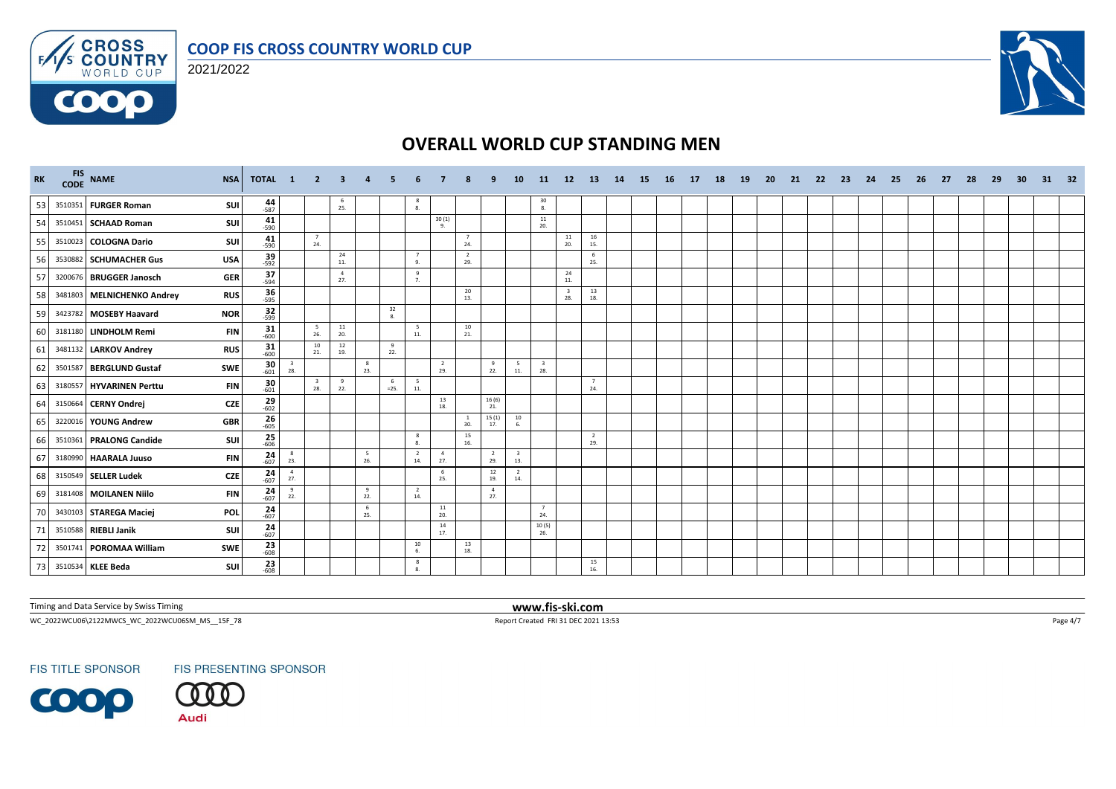



**COOO** 



# **OVERALL WORLD CUP STANDING MEN**

| <b>RK</b> |         | FIS NAME                   | <b>NSA</b> | TOTAL 1                                   | $\sqrt{2}$                     |           | -3                    |                    |                       |                       |                       |                       | 10                             | -11                            | 12 <sup>2</sup> | -13                   | 14 | -15 | - 16 | 17 | 18 | <b>19</b> | -20 | -21 | -22 | -23 | -24 | -25 | -26 | -27 | -28 | -29 | 30 | 31 | 32 |
|-----------|---------|----------------------------|------------|-------------------------------------------|--------------------------------|-----------|-----------------------|--------------------|-----------------------|-----------------------|-----------------------|-----------------------|--------------------------------|--------------------------------|-----------------|-----------------------|----|-----|------|----|----|-----------|-----|-----|-----|-----|-----|-----|-----|-----|-----|-----|----|----|----|
| 53        |         | 3510351 FURGER Roman       | SUI        | 44                                        |                                |           | -6<br>25.             |                    | $\frac{8}{8}$         |                       |                       |                       |                                | $\frac{30}{8}$                 |                 |                       |    |     |      |    |    |           |     |     |     |     |     |     |     |     |     |     |    |    |    |
| 54        |         | 3510451 SCHAAD Roman       | SUI        | $41 - 590$                                |                                |           |                       |                    |                       | 30(1)<br>9.           |                       |                       |                                | 11<br>20.                      |                 |                       |    |     |      |    |    |           |     |     |     |     |     |     |     |     |     |     |    |    |    |
| 55        |         | 3510023 COLOGNA Dario      | SUI        | $41 - 590$                                | 24.                            | 7         |                       |                    |                       |                       | $\overline{7}$<br>24. |                       |                                |                                | 11<br>20.       | 16<br>15.             |    |     |      |    |    |           |     |     |     |     |     |     |     |     |     |     |    |    |    |
| 56        |         | 3530882 SCHUMACHER Gus     | <b>USA</b> | $39 - 592$                                |                                |           | 24<br>11.             |                    | 7<br>9.               |                       | $\overline{2}$<br>29. |                       |                                |                                |                 | - 6<br>25.            |    |     |      |    |    |           |     |     |     |     |     |     |     |     |     |     |    |    |    |
| 57        |         | 3200676 BRUGGER Janosch    | <b>GER</b> | 37<br>$-594$                              |                                |           | $\overline{4}$<br>27. |                    | 9<br>7.               |                       |                       |                       |                                |                                | 24<br>11.       |                       |    |     |      |    |    |           |     |     |     |     |     |     |     |     |     |     |    |    |    |
| 58        |         | 3481803 MELNICHENKO Andrey | <b>RUS</b> | $\frac{36}{595}$                          |                                |           |                       |                    |                       |                       | 20<br>13.             |                       |                                |                                | 28.             | 13<br>18.             |    |     |      |    |    |           |     |     |     |     |     |     |     |     |     |     |    |    |    |
| 59        |         | 3423782 MOSEBY Haavard     | <b>NOR</b> | $32 - 599$                                |                                |           |                       | 32<br>$\mathbf{R}$ |                       |                       |                       |                       |                                |                                |                 |                       |    |     |      |    |    |           |     |     |     |     |     |     |     |     |     |     |    |    |    |
| 60        |         | 3181180 LINDHOLM Remi      | <b>FIN</b> | $\frac{31}{600}$                          |                                | 5<br>26.  | 11<br>20.             |                    | - 5<br>11.            |                       | 10<br>21.             |                       |                                |                                |                 |                       |    |     |      |    |    |           |     |     |     |     |     |     |     |     |     |     |    |    |    |
| 61        |         | 3481132 LARKOV Andrey      | <b>RUS</b> | $\frac{31}{600}$                          |                                | 10<br>21. | 12<br>19.             | 9<br>22.           |                       |                       |                       |                       |                                |                                |                 |                       |    |     |      |    |    |           |     |     |     |     |     |     |     |     |     |     |    |    |    |
| 62        | 3501587 | <b>BERGLUND Gustaf</b>     | SWE        | $\frac{30}{601}$<br>$\frac{3}{28}$        |                                |           | 8<br>23.              |                    |                       | $\overline{2}$<br>29. |                       | 9<br>22.              | 5<br>11.                       | $\overline{\mathbf{3}}$<br>28. |                 |                       |    |     |      |    |    |           |     |     |     |     |     |     |     |     |     |     |    |    |    |
| 63        |         | 3180557 HYVARINEN Perttu   | <b>FIN</b> | $\frac{30}{601}$                          | $\overline{\mathbf{3}}$<br>28. |           | 9<br>22.              | -6<br>$=25.$       | 5<br>11.              |                       |                       |                       |                                |                                |                 | $\overline{7}$<br>24. |    |     |      |    |    |           |     |     |     |     |     |     |     |     |     |     |    |    |    |
| 64        |         | 3150664 CERNY Ondrej       | <b>CZE</b> | $29 \atop 602$                            |                                |           |                       |                    |                       | 13<br>18.             |                       | 16(6)<br>21.          |                                |                                |                 |                       |    |     |      |    |    |           |     |     |     |     |     |     |     |     |     |     |    |    |    |
| 65        |         | 3220016 YOUNG Andrew       | <b>GBR</b> | $26 - 605$                                |                                |           |                       |                    |                       |                       | -1<br>30.             | 15(1)<br>17.          | 10<br>6.                       |                                |                 |                       |    |     |      |    |    |           |     |     |     |     |     |     |     |     |     |     |    |    |    |
| 66        |         | 3510361 PRALONG Candide    | SUI        | $25 - 606$                                |                                |           |                       |                    | 8<br>8.               |                       | 15<br>16.             |                       |                                |                                |                 | $\overline{2}$<br>29. |    |     |      |    |    |           |     |     |     |     |     |     |     |     |     |     |    |    |    |
| 67        |         | 3180990 HAARALA Juuso      | <b>FIN</b> | $\frac{24}{607}$<br>8<br>23.              |                                |           | 5<br>26.              |                    | $\overline{2}$<br>14. | $\overline{4}$<br>27. |                       | $\overline{2}$<br>29. | $\overline{\mathbf{3}}$<br>13. |                                |                 |                       |    |     |      |    |    |           |     |     |     |     |     |     |     |     |     |     |    |    |    |
| 68        |         | 3150549 SELLER Ludek       | <b>CZE</b> | $\frac{24}{607}$<br>$\overline{4}$<br>27. |                                |           |                       |                    |                       | 6<br>25.              |                       | 12<br>19.             | $\overline{2}$<br>14.          |                                |                 |                       |    |     |      |    |    |           |     |     |     |     |     |     |     |     |     |     |    |    |    |
| 69        |         | 3181408 MOILANEN Niilo     | <b>FIN</b> | $\frac{24}{607}$<br>9<br>22.              |                                |           | 9<br>22.              |                    | $\overline{2}$<br>14. |                       |                       | $\overline{4}$<br>27. |                                |                                |                 |                       |    |     |      |    |    |           |     |     |     |     |     |     |     |     |     |     |    |    |    |
| 70        |         | 3430103 STAREGA Maciej     | POL        | $\frac{24}{607}$                          |                                |           | 6<br>25.              |                    |                       | 11<br>20.             |                       |                       |                                | $\overline{7}$<br>24.          |                 |                       |    |     |      |    |    |           |     |     |     |     |     |     |     |     |     |     |    |    |    |
| 71        |         | 3510588 RIEBLI Janik       | SUI        | $\frac{24}{607}$                          |                                |           |                       |                    |                       | 14<br>17.             |                       |                       |                                | 10(5)<br>26.                   |                 |                       |    |     |      |    |    |           |     |     |     |     |     |     |     |     |     |     |    |    |    |
| 72        |         | 3501741 POROMAA William    | SWE        | $23 - 608$                                |                                |           |                       |                    | $10\,$<br>6.          |                       | 13<br>18.             |                       |                                |                                |                 |                       |    |     |      |    |    |           |     |     |     |     |     |     |     |     |     |     |    |    |    |
| 73        |         | 3510534 KLEE Beda          | SUI        | $\frac{23}{608}$                          |                                |           |                       |                    | 8                     |                       |                       |                       |                                |                                |                 | 15<br>16.             |    |     |      |    |    |           |     |     |     |     |     |     |     |     |     |     |    |    |    |

Timing and Data Service by Swiss Timing **www.fis-ski.com**

WC\_2022WCU06\2122MWCS\_WC\_2022WCU06SM\_MS\_\_15F\_78 Report Created FRI 31 DEC 2021 13:53 Page 4/7



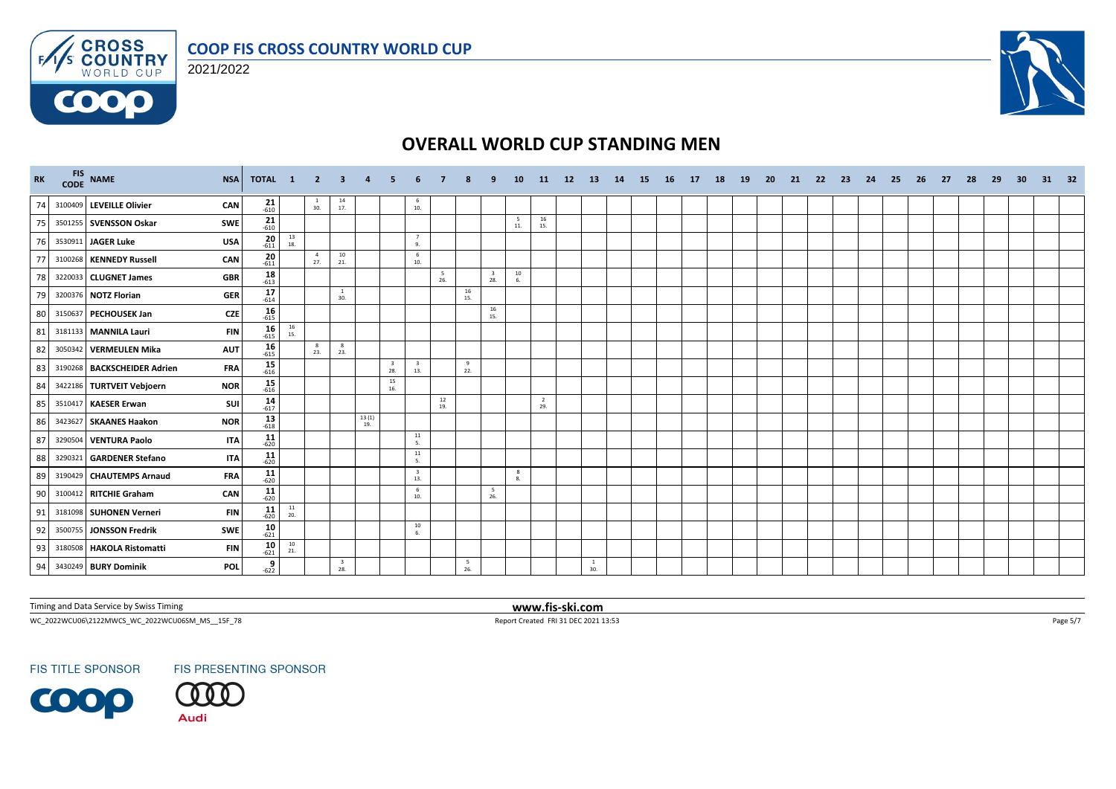



**COOO** 



# **OVERALL WORLD CUP STANDING MEN**

| <b>RK</b> | FIS NAME                    | <b>NSA</b> | TOTAL 1              |                                          | $\overline{\mathbf{2}}$ | - 3             |                    |                                |                                |            |            |                                          | <b>10</b> | -11                   | 12 | 13                  | 14 | -15 | - 16 | 17 | 18 | 19 | 20 | -21 | -22 | - 23 | -24 | - 25 | - 26 | - 27 | 28 | 29 | -30 | 31 | 32 |
|-----------|-----------------------------|------------|----------------------|------------------------------------------|-------------------------|-----------------|--------------------|--------------------------------|--------------------------------|------------|------------|------------------------------------------|-----------|-----------------------|----|---------------------|----|-----|------|----|----|----|----|-----|-----|------|-----|------|------|------|----|----|-----|----|----|
| 74        | 3100409 LEVEILLE Olivier    | CAN        | $21$ <sub>-610</sub> |                                          | $\frac{1}{30}$          | $\frac{14}{17}$ |                    |                                | - 6<br>10.                     |            |            |                                          |           |                       |    |                     |    |     |      |    |    |    |    |     |     |      |     |      |      |      |    |    |     |    |    |
| 75        | 3501255 SVENSSON Oskar      | SWE        | $21$ <sub>-610</sub> |                                          |                         |                 |                    |                                |                                |            |            |                                          | 5<br>11.  | 16<br>15.             |    |                     |    |     |      |    |    |    |    |     |     |      |     |      |      |      |    |    |     |    |    |
| 76        | 3530911 JAGER Luke          | <b>USA</b> | $20$ <sub>611</sub>  | $\begin{array}{c} 13 \\ 18. \end{array}$ |                         |                 |                    |                                | $\overline{7}$<br>9.           |            |            |                                          |           |                       |    |                     |    |     |      |    |    |    |    |     |     |      |     |      |      |      |    |    |     |    |    |
| 77        | 3100268 KENNEDY Russell     | CAN        | $20 - 611$           |                                          | 4<br>27.                | 10<br>21.       |                    |                                | 6<br>10.                       |            |            |                                          |           |                       |    |                     |    |     |      |    |    |    |    |     |     |      |     |      |      |      |    |    |     |    |    |
| 78        | 3220033 CLUGNET James       | <b>GBR</b> | $18 - 613$           |                                          |                         |                 |                    |                                |                                | - 5<br>26. |            | $\overline{\mathbf{3}}$<br>28.           | 10<br>6.  |                       |    |                     |    |     |      |    |    |    |    |     |     |      |     |      |      |      |    |    |     |    |    |
| 79        | 3200376 NOTZ Florian        | <b>GER</b> | 17<br>$-614$         |                                          |                         | -1<br>30.       |                    |                                |                                |            | 16<br>15.  |                                          |           |                       |    |                     |    |     |      |    |    |    |    |     |     |      |     |      |      |      |    |    |     |    |    |
| 80        | 3150637 PECHOUSEK Jan       | <b>CZE</b> | $16 - 615$           |                                          |                         |                 |                    |                                |                                |            |            | $\begin{array}{c} 16 \\ 15. \end{array}$ |           |                       |    |                     |    |     |      |    |    |    |    |     |     |      |     |      |      |      |    |    |     |    |    |
| 81        | 3181133 MANNILA Lauri       | <b>FIN</b> | $16$ <sub>615</sub>  | $\frac{16}{15}$                          |                         |                 |                    |                                |                                |            |            |                                          |           |                       |    |                     |    |     |      |    |    |    |    |     |     |      |     |      |      |      |    |    |     |    |    |
| 82        | 3050342 VERMEULEN Mika      | <b>AUT</b> | $16$ <sub>615</sub>  |                                          | 8<br>23.                | -8<br>23.       |                    |                                |                                |            |            |                                          |           |                       |    |                     |    |     |      |    |    |    |    |     |     |      |     |      |      |      |    |    |     |    |    |
| 83        | 3190268 BACKSCHEIDER Adrien | <b>FRA</b> | $15 - 616$           |                                          |                         |                 |                    | $\overline{\mathbf{3}}$<br>28. | $\overline{\mathbf{3}}$<br>13. |            | 9<br>22.   |                                          |           |                       |    |                     |    |     |      |    |    |    |    |     |     |      |     |      |      |      |    |    |     |    |    |
| 84        | 3422186 TURTVEIT Vebjoern   | <b>NOR</b> | $15$ <sub>616</sub>  |                                          |                         |                 |                    | 15<br>16.                      |                                |            |            |                                          |           |                       |    |                     |    |     |      |    |    |    |    |     |     |      |     |      |      |      |    |    |     |    |    |
| 85        | 3510417 KAESER Erwan        | SUI        | $14$ <sub>-617</sub> |                                          |                         |                 |                    |                                |                                | 12<br>19.  |            |                                          |           | $\overline{2}$<br>29. |    |                     |    |     |      |    |    |    |    |     |     |      |     |      |      |      |    |    |     |    |    |
| 86        | 3423627 SKAANES Haakon      | <b>NOR</b> | $13 \over 618$       |                                          |                         |                 | $\frac{13(1)}{19}$ |                                |                                |            |            |                                          |           |                       |    |                     |    |     |      |    |    |    |    |     |     |      |     |      |      |      |    |    |     |    |    |
| 87        | 3290504 VENTURA Paolo       | <b>ITA</b> | $11$ <sub>-620</sub> |                                          |                         |                 |                    |                                | 11<br>5.                       |            |            |                                          |           |                       |    |                     |    |     |      |    |    |    |    |     |     |      |     |      |      |      |    |    |     |    |    |
| 88        | 3290321 GARDENER Stefano    | <b>ITA</b> | $11$ <sub>-620</sub> |                                          |                         |                 |                    |                                | 11<br>5.                       |            |            |                                          |           |                       |    |                     |    |     |      |    |    |    |    |     |     |      |     |      |      |      |    |    |     |    |    |
| 89        | 3190429 CHAUTEMPS Arnaud    | <b>FRA</b> | $11$ <sub>-620</sub> |                                          |                         |                 |                    |                                | $\overline{\mathbf{3}}$<br>13. |            |            |                                          | 8<br>8.   |                       |    |                     |    |     |      |    |    |    |    |     |     |      |     |      |      |      |    |    |     |    |    |
| 90        | 3100412 RITCHIE Graham      | CAN        | $11$ <sub>-620</sub> |                                          |                         |                 |                    |                                | 6<br>10.                       |            |            | 5<br>26.                                 |           |                       |    |                     |    |     |      |    |    |    |    |     |     |      |     |      |      |      |    |    |     |    |    |
| 91        | 3181098 SUHONEN Verneri     | <b>FIN</b> | $11$ <sub>-620</sub> | $\frac{11}{20}$                          |                         |                 |                    |                                |                                |            |            |                                          |           |                       |    |                     |    |     |      |    |    |    |    |     |     |      |     |      |      |      |    |    |     |    |    |
| 92        | 3500755 JONSSON Fredrik     | SWE        | $10 - 621$           |                                          |                         |                 |                    |                                | $10\,$<br>6.                   |            |            |                                          |           |                       |    |                     |    |     |      |    |    |    |    |     |     |      |     |      |      |      |    |    |     |    |    |
| 93        | 3180508 HAKOLA Ristomatti   | <b>FIN</b> | $10 - 621$           | $\begin{array}{c} 10 \\ 21. \end{array}$ |                         |                 |                    |                                |                                |            |            |                                          |           |                       |    |                     |    |     |      |    |    |    |    |     |     |      |     |      |      |      |    |    |     |    |    |
| 94        | 3430249 BURY Dominik        | <b>POL</b> | 9<br>$-622$          |                                          |                         | 3<br>28.        |                    |                                |                                |            | - 5<br>26. |                                          |           |                       |    | <sup>1</sup><br>30. |    |     |      |    |    |    |    |     |     |      |     |      |      |      |    |    |     |    |    |

Timing and Data Service by Swiss Timing **www.fis-ski.com**

WC\_2022WCU06\2122MWCS\_WC\_2022WCU06SM\_MS\_\_15F\_78 Report Created FRI 31 DEC 2021 13:53 Page 5/7



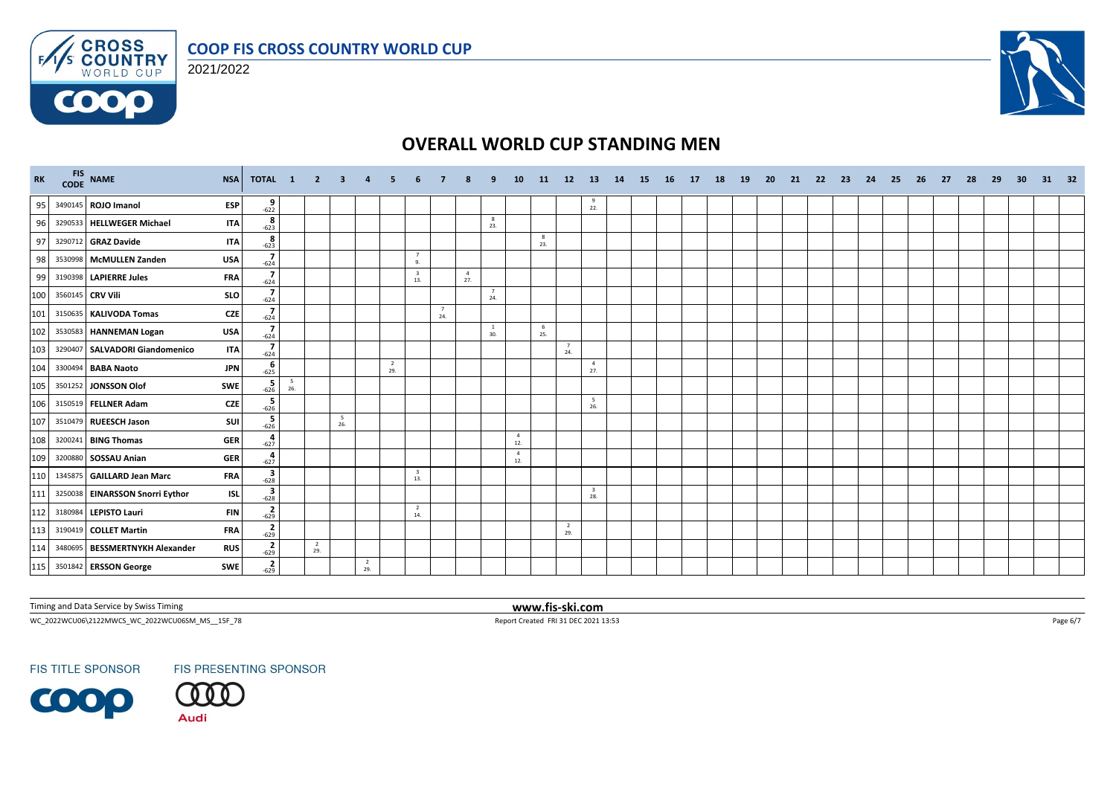





# **OVERALL WORLD CUP STANDING MEN**

| RK  |         | FIS NAME<br>CODE NAME           | <b>NSA</b> | TOTAL 1                           |                                 | $2 \t3$               |           |                       |                       |                                |          |                       |                       | <b>10</b>             | <b>11</b> | 12                    | <b>13</b>                      | 14 | <b>15</b> | 16 | 17 <sup>2</sup> | <b>18</b> | <b>19</b> | 20 | 21 | -22 | - 23 | 24 | -25 | 26 | -27 | -28 | - 29 | 30 | 31 | 32 |
|-----|---------|---------------------------------|------------|-----------------------------------|---------------------------------|-----------------------|-----------|-----------------------|-----------------------|--------------------------------|----------|-----------------------|-----------------------|-----------------------|-----------|-----------------------|--------------------------------|----|-----------|----|-----------------|-----------|-----------|----|----|-----|------|----|-----|----|-----|-----|------|----|----|----|
| 95  |         | 3490145 ROJO Imanol             | <b>ESP</b> | $\frac{9}{-622}$                  |                                 |                       |           |                       |                       |                                |          |                       |                       |                       |           |                       | 9<br>22.                       |    |           |    |                 |           |           |    |    |     |      |    |     |    |     |     |      |    |    |    |
| 96  |         | 3290533 HELLWEGER Michael       | <b>ITA</b> | 8<br>$-623$                       |                                 |                       |           |                       |                       |                                |          |                       | $_{\rm 8}$<br>23.     |                       |           |                       |                                |    |           |    |                 |           |           |    |    |     |      |    |     |    |     |     |      |    |    |    |
| 97  |         | 3290712 GRAZ Davide             | <b>ITA</b> | $8 - 623$                         |                                 |                       |           |                       |                       |                                |          |                       |                       |                       | 8<br>23.  |                       |                                |    |           |    |                 |           |           |    |    |     |      |    |     |    |     |     |      |    |    |    |
| 98  |         | 3530998 McMULLEN Zanden         | <b>USA</b> | $\overline{7}$<br>$-624$          |                                 |                       |           |                       |                       | 7<br>9.                        |          |                       |                       |                       |           |                       |                                |    |           |    |                 |           |           |    |    |     |      |    |     |    |     |     |      |    |    |    |
| 99  |         | 3190398 LAPIERRE Jules          | <b>FRA</b> | $\overline{7}$<br>$-624$          |                                 |                       |           |                       |                       | $\overline{\mathbf{3}}$<br>13. |          | $\overline{4}$<br>27. |                       |                       |           |                       |                                |    |           |    |                 |           |           |    |    |     |      |    |     |    |     |     |      |    |    |    |
| 100 |         | 3560145 CRV Vili                | <b>SLO</b> | $\overline{7}$<br>$-624$          |                                 |                       |           |                       |                       |                                |          |                       | $\overline{7}$<br>24. |                       |           |                       |                                |    |           |    |                 |           |           |    |    |     |      |    |     |    |     |     |      |    |    |    |
| 101 | 3150635 | <b>KALIVODA Tomas</b>           | <b>CZE</b> | $\overline{7}$<br>$-624$          |                                 |                       |           |                       |                       |                                | 7<br>24. |                       |                       |                       |           |                       |                                |    |           |    |                 |           |           |    |    |     |      |    |     |    |     |     |      |    |    |    |
| 102 |         | 3530583 HANNEMAN Logan          | <b>USA</b> | $\overline{\mathbf{z}}$<br>$-624$ |                                 |                       |           |                       |                       |                                |          |                       | $\overline{1}$<br>30. |                       | 6<br>25.  |                       |                                |    |           |    |                 |           |           |    |    |     |      |    |     |    |     |     |      |    |    |    |
| 103 |         | 3290407 SALVADORI Giandomenico  | <b>ITA</b> | $\overline{7}$<br>$-624$          |                                 |                       |           |                       |                       |                                |          |                       |                       |                       |           | $\overline{7}$<br>24. |                                |    |           |    |                 |           |           |    |    |     |      |    |     |    |     |     |      |    |    |    |
| 104 |         | 3300494 BABA Naoto              | <b>JPN</b> | $-625$                            |                                 |                       |           |                       | $\overline{2}$<br>29. |                                |          |                       |                       |                       |           |                       | $\overline{4}$<br>27.          |    |           |    |                 |           |           |    |    |     |      |    |     |    |     |     |      |    |    |    |
| 105 |         | 3501252 JONSSON Olof            | <b>SWE</b> | $-626$                            | $\overline{\phantom{0}}$<br>26. |                       |           |                       |                       |                                |          |                       |                       |                       |           |                       |                                |    |           |    |                 |           |           |    |    |     |      |    |     |    |     |     |      |    |    |    |
| 106 |         | 3150519 FELLNER Adam            | <b>CZE</b> | 5<br>$-626$                       |                                 |                       |           |                       |                       |                                |          |                       |                       |                       |           |                       | 5<br>26.                       |    |           |    |                 |           |           |    |    |     |      |    |     |    |     |     |      |    |    |    |
| 107 |         | 3510479 RUEESCH Jason           | sui        | 5<br>$-626$                       |                                 |                       | -5<br>26. |                       |                       |                                |          |                       |                       |                       |           |                       |                                |    |           |    |                 |           |           |    |    |     |      |    |     |    |     |     |      |    |    |    |
| 108 |         | 3200241 BING Thomas             | <b>GER</b> | $-627$                            |                                 |                       |           |                       |                       |                                |          |                       |                       | $\overline{4}$<br>12. |           |                       |                                |    |           |    |                 |           |           |    |    |     |      |    |     |    |     |     |      |    |    |    |
| 109 |         | 3200880 SOSSAU Anian            | <b>GER</b> | $\overline{a}$<br>$-627$          |                                 |                       |           |                       |                       |                                |          |                       |                       | $\overline{4}$<br>12. |           |                       |                                |    |           |    |                 |           |           |    |    |     |      |    |     |    |     |     |      |    |    |    |
| 110 |         | 1345875 GAILLARD Jean Marc      | <b>FRA</b> | $\frac{3}{628}$                   |                                 |                       |           |                       |                       | $\overline{\mathbf{3}}$<br>13. |          |                       |                       |                       |           |                       |                                |    |           |    |                 |           |           |    |    |     |      |    |     |    |     |     |      |    |    |    |
| 111 |         | 3250038 EINARSSON Snorri Eythor | <b>ISL</b> | $\frac{3}{-628}$                  |                                 |                       |           |                       |                       |                                |          |                       |                       |                       |           |                       | $\overline{\mathbf{3}}$<br>28. |    |           |    |                 |           |           |    |    |     |      |    |     |    |     |     |      |    |    |    |
| 112 |         | 3180984 LEPISTO Lauri           | <b>FIN</b> | $\mathbf{2}$<br>$-629$            |                                 |                       |           |                       |                       | $\overline{2}$<br>14.          |          |                       |                       |                       |           |                       |                                |    |           |    |                 |           |           |    |    |     |      |    |     |    |     |     |      |    |    |    |
| 113 |         | 3190419 COLLET Martin           | <b>FRA</b> | $\frac{2}{-629}$                  |                                 |                       |           |                       |                       |                                |          |                       |                       |                       |           | $\overline{2}$<br>29. |                                |    |           |    |                 |           |           |    |    |     |      |    |     |    |     |     |      |    |    |    |
| 114 |         | 3480695 BESSMERTNYKH Alexander  | <b>RUS</b> | $\frac{2}{-629}$                  |                                 | $\overline{2}$<br>29. |           |                       |                       |                                |          |                       |                       |                       |           |                       |                                |    |           |    |                 |           |           |    |    |     |      |    |     |    |     |     |      |    |    |    |
| 115 |         | 3501842 ERSSON George           | <b>SWE</b> | $\frac{2}{-629}$                  |                                 |                       |           | $\overline{2}$<br>29. |                       |                                |          |                       |                       |                       |           |                       |                                |    |           |    |                 |           |           |    |    |     |      |    |     |    |     |     |      |    |    |    |

Timing and Data Service by Swiss Timing **www.fis-ski.com**

WC\_2022WCU06\2122MWCS\_WC\_2022WCU06SM\_MS\_\_15F\_78 Report Created FRI 31 DEC 2021 13:53 Page 6/7

**FIS TITLE SPONSOR** 





**FIS PRESENTING SPONSOR**